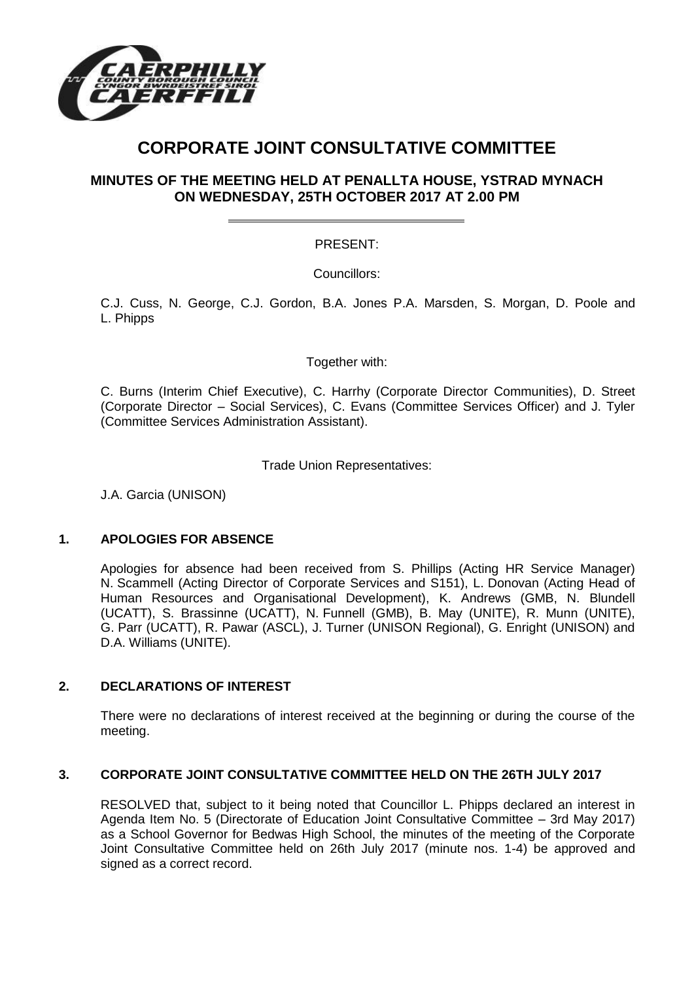

# **CORPORATE JOINT CONSULTATIVE COMMITTEE**

# **MINUTES OF THE MEETING HELD AT PENALLTA HOUSE, YSTRAD MYNACH ON WEDNESDAY, 25TH OCTOBER 2017 AT 2.00 PM**

# PRESENT:

Councillors:

C.J. Cuss, N. George, C.J. Gordon, B.A. Jones P.A. Marsden, S. Morgan, D. Poole and L. Phipps

Together with:

C. Burns (Interim Chief Executive), C. Harrhy (Corporate Director Communities), D. Street (Corporate Director – Social Services), C. Evans (Committee Services Officer) and J. Tyler (Committee Services Administration Assistant).

Trade Union Representatives:

J.A. Garcia (UNISON)

## **1. APOLOGIES FOR ABSENCE**

Apologies for absence had been received from S. Phillips (Acting HR Service Manager) N. Scammell (Acting Director of Corporate Services and S151), L. Donovan (Acting Head of Human Resources and Organisational Development), K. Andrews (GMB, N. Blundell (UCATT), S. Brassinne (UCATT), N. Funnell (GMB), B. May (UNITE), R. Munn (UNITE), G. Parr (UCATT), R. Pawar (ASCL), J. Turner (UNISON Regional), G. Enright (UNISON) and D.A. Williams (UNITE).

## **2. DECLARATIONS OF INTEREST**

There were no declarations of interest received at the beginning or during the course of the meeting.

## **3. CORPORATE JOINT CONSULTATIVE COMMITTEE HELD ON THE 26TH JULY 2017**

RESOLVED that, subject to it being noted that Councillor L. Phipps declared an interest in Agenda Item No. 5 (Directorate of Education Joint Consultative Committee – 3rd May 2017) as a School Governor for Bedwas High School, the minutes of the meeting of the Corporate Joint Consultative Committee held on 26th July 2017 (minute nos. 1-4) be approved and signed as a correct record.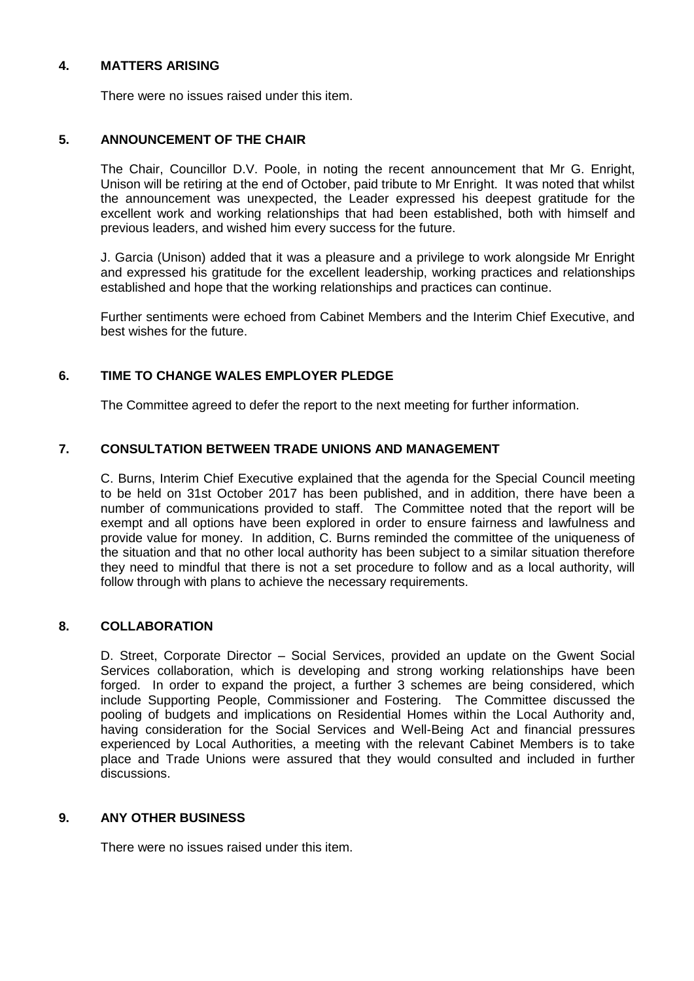## **4. MATTERS ARISING**

There were no issues raised under this item.

## **5. ANNOUNCEMENT OF THE CHAIR**

The Chair, Councillor D.V. Poole, in noting the recent announcement that Mr G. Enright, Unison will be retiring at the end of October, paid tribute to Mr Enright. It was noted that whilst the announcement was unexpected, the Leader expressed his deepest gratitude for the excellent work and working relationships that had been established, both with himself and previous leaders, and wished him every success for the future.

J. Garcia (Unison) added that it was a pleasure and a privilege to work alongside Mr Enright and expressed his gratitude for the excellent leadership, working practices and relationships established and hope that the working relationships and practices can continue.

Further sentiments were echoed from Cabinet Members and the Interim Chief Executive, and best wishes for the future.

# **6. TIME TO CHANGE WALES EMPLOYER PLEDGE**

The Committee agreed to defer the report to the next meeting for further information.

## **7. CONSULTATION BETWEEN TRADE UNIONS AND MANAGEMENT**

C. Burns, Interim Chief Executive explained that the agenda for the Special Council meeting to be held on 31st October 2017 has been published, and in addition, there have been a number of communications provided to staff. The Committee noted that the report will be exempt and all options have been explored in order to ensure fairness and lawfulness and provide value for money. In addition, C. Burns reminded the committee of the uniqueness of the situation and that no other local authority has been subject to a similar situation therefore they need to mindful that there is not a set procedure to follow and as a local authority, will follow through with plans to achieve the necessary requirements.

## **8. COLLABORATION**

D. Street, Corporate Director – Social Services, provided an update on the Gwent Social Services collaboration, which is developing and strong working relationships have been forged. In order to expand the project, a further 3 schemes are being considered, which include Supporting People, Commissioner and Fostering. The Committee discussed the pooling of budgets and implications on Residential Homes within the Local Authority and, having consideration for the Social Services and Well-Being Act and financial pressures experienced by Local Authorities, a meeting with the relevant Cabinet Members is to take place and Trade Unions were assured that they would consulted and included in further discussions.

## **9. ANY OTHER BUSINESS**

There were no issues raised under this item.